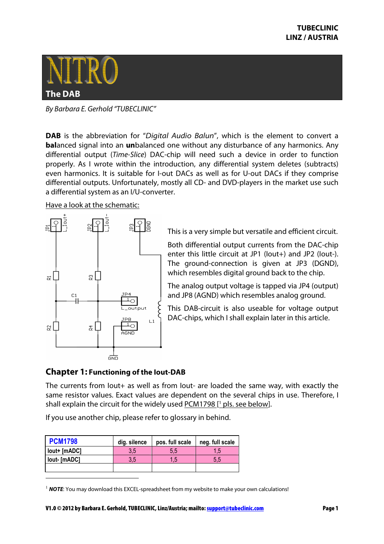

By Barbara E. Gerhold "TUBECLINIC"

**DAB** is the abbreviation for "Digital Audio Balun", which is the element to convert a **bal**anced signal into an **un**balanced one without any disturbance of any harmonics. Any differential output (Time-Slice) DAC-chip will need such a device in order to function properly. As I wrote within the introduction, any differential system deletes (subtracts) even harmonics. It is suitable for I-out DACs as well as for U-out DACs if they comprise differential outputs. Unfortunately, mostly all CD- and DVD-players in the market use such a differential system as an I/U-converter.

#### Have a look at the schematic:



This is a very simple but versatile and efficient circuit.

Both differential output currents from the DAC-chip enter this little circuit at JP1 (Iout+) and JP2 (Iout-). The ground-connection is given at JP3 (DGND), which resembles digital ground back to the chip.

The analog output voltage is tapped via JP4 (output) and JP8 (AGND) which resembles analog ground.

This DAB-circuit is also useable for voltage output DAC-chips, which I shall explain later in this article.

# **Chapter 1: Functioning of the Iout-DAB**

 $\overline{a}$ 

The currents from Iout+ as well as from Iout- are loaded the same way, with exactly the same resistor values. Exact values are dependent on the several chips in use. Therefore, I shall explain the circuit for the widely used PCM1798 [<sup>1</sup> pls. see below].

If you use another chip, please refer to glossary in behind.

| <b>PCM1798</b> | dig. silence | pos. full scale | neg. full scale |  |
|----------------|--------------|-----------------|-----------------|--|
| lout+ [mADC]   | 3.5          | 5.5             | 1.5             |  |
| lout- [mADC]   | 3.5          | 15.             | 5.5             |  |
|                |              |                 |                 |  |

<sup>&</sup>lt;sup>1</sup> **NOTE**: You may download this EXCEL-spreadsheet from my website to make your own calculations!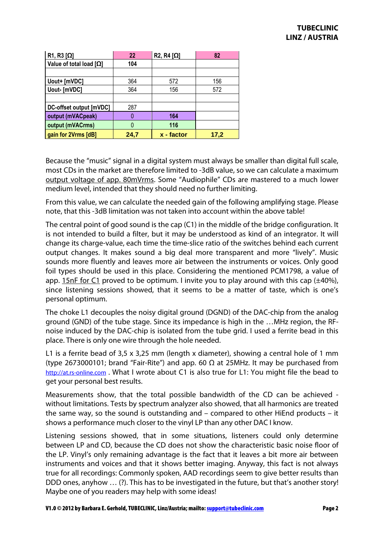| $R1, R3 [\Omega]$              | 22   | $R2, R4 [\Omega]$ | 82   |
|--------------------------------|------|-------------------|------|
| Value of total load $[\Omega]$ | 104  |                   |      |
|                                |      |                   |      |
| Uout+ [mVDC]                   | 364  | 572               | 156  |
| Uout- [mVDC]                   | 364  | 156               | 572  |
|                                |      |                   |      |
| DC-offset output [mVDC]        | 287  |                   |      |
| output (mVACpeak)              |      | 164               |      |
| output (mVACrms)               | O    | 116               |      |
| gain for 2Vrms [dB]            | 24,7 | x - factor        | 17,2 |

Because the "music" signal in a digital system must always be smaller than digital full scale, most CDs in the market are therefore limited to -3dB value, so we can calculate a maximum output voltage of app. 80mVrms. Some "Audiophile" CDs are mastered to a much lower medium level, intended that they should need no further limiting.

From this value, we can calculate the needed gain of the following amplifying stage. Please note, that this -3dB limitation was not taken into account within the above table!

The central point of good sound is the cap (C1) in the middle of the bridge configuration. It is not intended to build a filter, but it may be understood as kind of an integrator. It will change its charge-value, each time the time-slice ratio of the switches behind each current output changes. It makes sound a big deal more transparent and more "lively". Music sounds more fluently and leaves more air between the instruments or voices. Only good foil types should be used in this place. Considering the mentioned PCM1798, a value of app. 15nF for C1 proved to be optimum. I invite you to play around with this cap  $(\pm 40\%)$ . since listening sessions showed, that it seems to be a matter of taste, which is one's personal optimum.

The choke L1 decouples the noisy digital ground (DGND) of the DAC-chip from the analog ground (GND) of the tube stage. Since its impedance is high in the …MHz region, the RFnoise induced by the DAC-chip is isolated from the tube grid. I used a ferrite bead in this place. There is only one wire through the hole needed.

L1 is a ferrite bead of 3,5 x 3,25 mm (length x diameter), showing a central hole of 1 mm (type 2673000101; brand "Fair-Rite") and app. 60  $\Omega$  at 25MHz. It may be purchased from http://at.rs-online.com . What I wrote about C1 is also true for L1: You might file the bead to get your personal best results.

Measurements show, that the total possible bandwidth of the CD can be achieved without limitations. Tests by spectrum analyzer also showed, that all harmonics are treated the same way, so the sound is outstanding and – compared to other HiEnd products – it shows a performance much closer to the vinyl LP than any other DAC I know.

Listening sessions showed, that in some situations, listeners could only determine between LP and CD, because the CD does not show the characteristic basic noise floor of the LP. Vinyl's only remaining advantage is the fact that it leaves a bit more air between instruments and voices and that it shows better imaging. Anyway, this fact is not always true for all recordings: Commonly spoken, AAD recordings seem to give better results than DDD ones, anyhow … (?). This has to be investigated in the future, but that's another story! Maybe one of you readers may help with some ideas!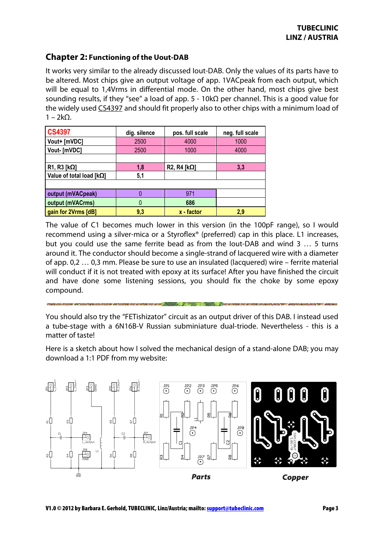# **Chapter 2: Functioning of the Uout-DAB**

It works very similar to the already discussed Iout-DAB. Only the values of its parts have to be altered. Most chips give an output voltage of app. 1VACpeak from each output, which will be equal to 1,4Vrms in differential mode. On the other hand, most chips give best sounding results, if they "see" a load of app.  $5 - 10kΩ$  per channel. This is a good value for the widely used CS4397 and should fit properly also to other chips with a minimum load of  $1 - 2k\Omega$ .

| <b>CS4397</b>                   | dig. silence | pos. full scale      | neg. full scale |  |
|---------------------------------|--------------|----------------------|-----------------|--|
| Vout+ [mVDC]                    | 2500         | 4000                 | 1000            |  |
| Vout- [mVDC]                    | 2500         | 1000                 | 4000            |  |
|                                 |              |                      |                 |  |
| $R1, R3 [k\Omega]$              | 1,8          | R2, R4 [ $k\Omega$ ] | 3,3             |  |
| Value of total load $[k\Omega]$ | 5,1          |                      |                 |  |
|                                 |              |                      |                 |  |
| output (mVACpeak)               |              | 971                  |                 |  |
| output (mVACrms)                | 0            | 686                  |                 |  |
| gain for 2Vrms [dB]             | 9,3          | x - factor           | 2.9             |  |

The value of C1 becomes much lower in this version (in the 100pF range), so I would recommend using a silver-mica or a Styroflex® (preferred) cap in this place. L1 increases, but you could use the same ferrite bead as from the Iout-DAB and wind 3 … 5 turns around it. The conductor should become a single-strand of lacquered wire with a diameter of app. 0,2 … 0,3 mm. Please be sure to use an insulated (lacquered) wire – ferrite material will conduct if it is not treated with epoxy at its surface! After you have finished the circuit and have done some listening sessions, you should fix the choke by some epoxy compound.

You should also try the "FETishizator" circuit as an output driver of this DAB. I instead used a tube-stage with a 6N16B-V Russian subminiature dual-triode. Nevertheless - this is a matter of taste!

Here is a sketch about how I solved the mechanical design of a stand-alone DAB; you may download a 1:1 PDF from my website: